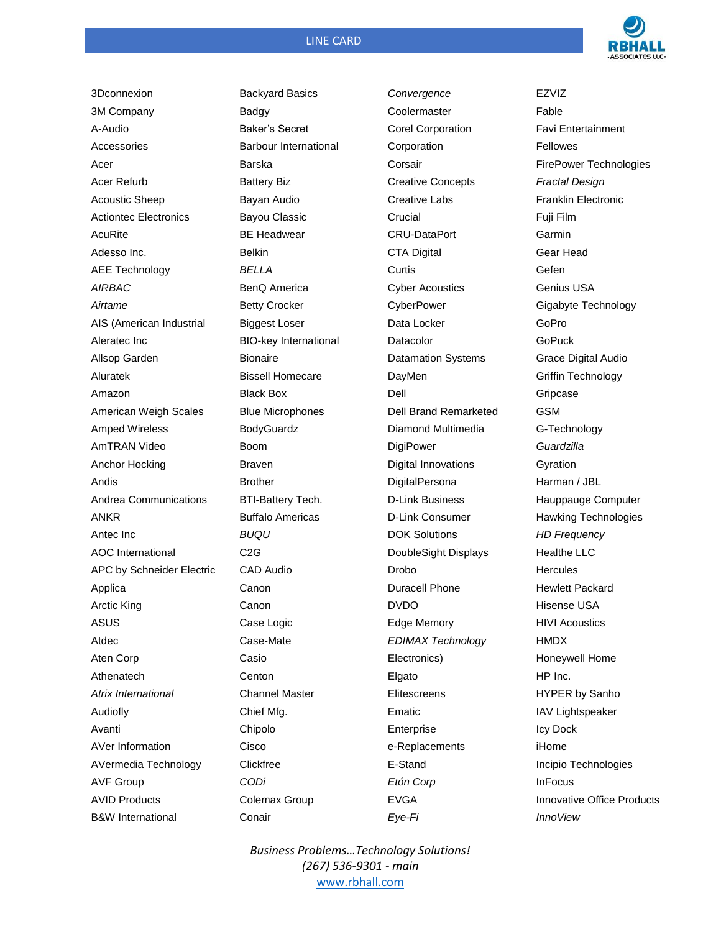## LINE CARD



3Dconnexion 3M Company A-Audio Accessories Acer Acer Refurb Acoustic Sheep Actiontec Electronics AcuRite Adesso Inc. AEE Technology *AIRBAC Airtame* AIS (American Industrial Aleratec Inc Allsop Garden Aluratek Amazon American Weigh Scales Amped Wireless AmTRAN Video Anchor Hocking Andis Andrea Communications ANKR Antec Inc AOC International APC by Schneider Electric Applica Arctic King ASUS Atdec Aten Corp Athenatech *Atrix International* Audiofly Avanti AVer Information AVermedia Technology AVF Group AVID Products B&W International

Backyard Basics Badgy Baker's Secret Barbour International Barska Battery Biz Bayan Audio Bayou Classic BE Headwear Belkin *BELLA* BenQ America Betty Crocker Biggest Loser BIO-key International Bionaire Bissell Homecare Black Box Blue Microphones BodyGuardz Boom Braven Brother BTI-Battery Tech. Buffalo Americas *BUQU* C2G CAD Audio Canon Canon Case Logic Case-Mate Casio **Centon** Channel Master Chief Mfg. Chipolo Cisco Clickfree *CODi* Colemax Group Conair

*Convergence* Coolermaster Corel Corporation Corporation Corsair Creative Concepts Creative Labs Crucial CRU-DataPort CTA Digital **Curtis** Cyber Acoustics **CyberPower** Data Locker Datacolor Datamation Systems DayMen Dell Dell Brand Remarketed Diamond Multimedia **DigiPower** Digital Innovations **DigitalPersona** D-Link Business D-Link Consumer DOK Solutions DoubleSight Displays Drobo Duracell Phone DVDO Edge Memory *EDIMAX Technology* Electronics) Elgato **Elitescreens** Ematic Enterprise e-Replacements E-Stand *Etón Corp* EVGA *Eye-Fi*

EZVIZ Fable Favi Entertainment Fellowes FirePower Technologies *Fractal Design* Franklin Electronic Fuji Film Garmin Gear Head Gefen Genius USA Gigabyte Technology GoPro GoPuck Grace Digital Audio Griffin Technology Gripcase GSM G-Technology *Guardzilla* Gyration Harman / JBL Hauppauge Computer Hawking Technologies *HD Frequency* Healthe LLC **Hercules** Hewlett Packard Hisense USA HIVI Acoustics **HMDX** Honeywell Home HP Inc. HYPER by Sanho IAV Lightspeaker Icy Dock iHome Incipio Technologies InFocus Innovative Office Products *InnoView*

*Business Problems…Technology Solutions! (267) 536-9301 - main* <www.rbhall.com>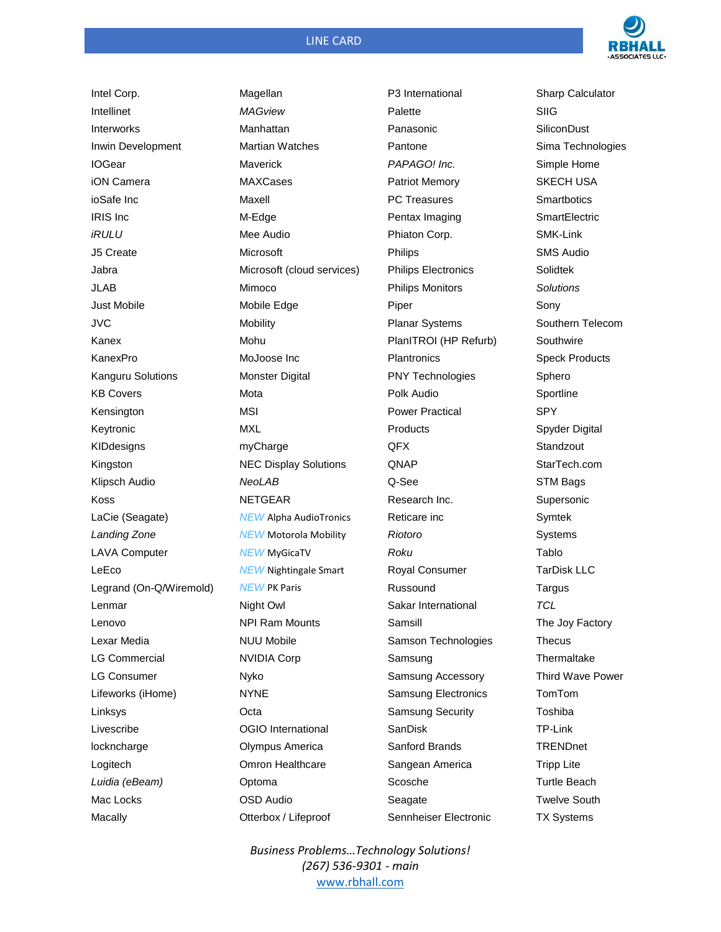## LINE CARD



Intel Corp. Intellinet Interworks Inwin Development IOGear iON Camera ioSafe Inc IRIS Inc *iRULU* J5 Create Jabra JLAB Just Mobile JVC Kanex KanexPro Kanguru Solutions KB Covers Kensington Keytronic KIDdesigns Kingston Klipsch Audio Koss LaCie (Seagate) *Landing Zone* LAVA Computer LeEco Legrand (On-Q/Wiremold) Lenmar Lenovo Lexar Media LG Commercial LG Consumer Lifeworks (iHome) Linksys Livescribe lockncharge Logitech *Luidia (eBeam)* Mac Locks **Macally** 

Magellan *MAGview* Manhattan Martian Watches Maverick **MAXCases** Maxell M-Edge Mee Audio Microsoft Microsoft (cloud services) Mimoco Mobile Edge **Mobility** Mohu MoJoose Inc Monster Digital Mota MSI **MXL** myCharge NEC Display Solutions *NeoLAB* NETGEAR *NEW* Alpha AudioTronics *NEW* Motorola Mobility *NEW* MyGicaTV *NEW* Nightingale Smart *NEW* PK Paris Night Owl NPI Ram Mounts NUU Mobile NVIDIA Corp Nyko NYNE **Octa** OGIO International Olympus America Omron Healthcare Optoma OSD Audio Otterbox / Lifeproof

P3 International Palette Panasonic Pantone *PAPAGO! Inc.* Patriot Memory PC Treasures Pentax Imaging Phiaton Corp. Philips Philips Electronics Philips Monitors Piper Planar Systems PlanITROI (HP Refurb) **Plantronics** PNY Technologies Polk Audio Power Practical Products QFX **ONAP** Q-See Research Inc. Reticare inc *Riotoro Roku* Royal Consumer Russound Sakar International Samsill Samson Technologies Samsung Samsung Accessory Samsung Electronics Samsung Security SanDisk Sanford Brands Sangean America Scosche Seagate Sennheiser Electronic

Sharp Calculator SIIG **SiliconDust** Sima Technologies Simple Home SKECH USA **Smartbotics SmartElectric** SMK-Link SMS Audio Solidtek *Solutions* Sony Southern Telecom Southwire Speck Products Sphero **Sportline** SPY Spyder Digital **Standzout** StarTech.com STM Bags Supersonic Symtek Systems Tablo TarDisk LLC **Targus** *TCL* The Joy Factory **Thecus Thermaltake** Third Wave Power TomTom Toshiba TP-Link TRENDnet Tripp Lite Turtle Beach Twelve South TX Systems

*Business Problems…Technology Solutions! (267) 536-9301 - main* <www.rbhall.com>